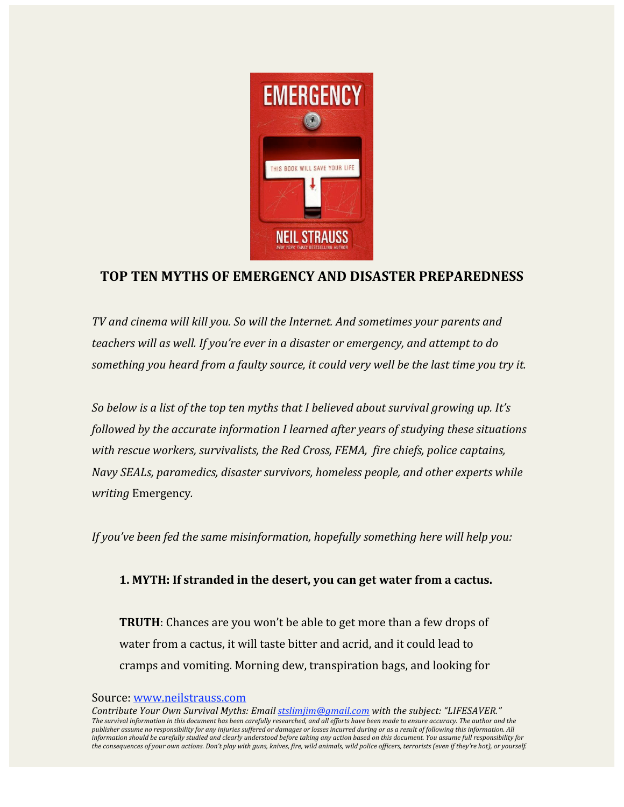

### **TOP TEN MYTHS OF EMERGENCY AND DISASTER PREPAREDNESS**

*TV and cinema will kill you. So will the Internet. And sometimes your parents and teachers will as well. If you're ever in a disaster or emergency, and attempt to do something you heard from a faulty source, it could very well be the last time you try it.*

*So below is a list of the top ten myths that I believed about survival growing up. It's followed by the accurate information I learned after years of studying these situations with rescue workers, survivalists, the Red Cross, FEMA, fire chiefs, police captains, Navy SEALs, paramedics, disaster survivors, homeless people, and other experts while writing* Emergency*.*

*If you've been fed the same misinformation, hopefully something here will help you:*

### **1. MYTH: If stranded in the desert, you can get water from a cactus.**

**TRUTH**: Chances are you won't be able to get more than a few drops of water from a cactus, it will taste bitter and acrid, and it could lead to cramps and vomiting. Morning dew, transpiration bags, and looking for

### Source: www.neilstrauss.com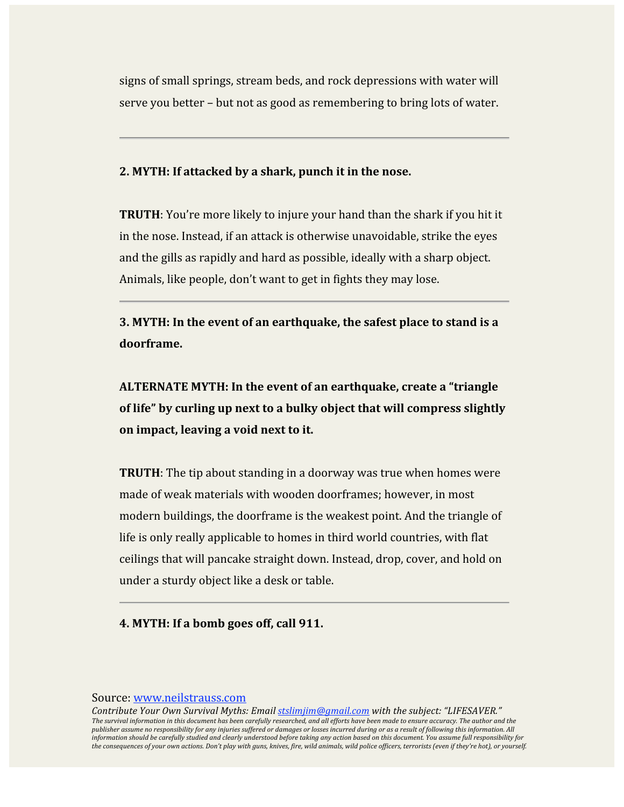signs of small springs, stream beds, and rock depressions with water will serve you better – but not as good as remembering to bring lots of water.

### **2. MYTH: If attacked by a shark, punch it in the nose.**

**TRUTH**: You're more likely to injure your hand than the shark if you hit it in the nose. Instead, if an attack is otherwise unavoidable, strike the eyes and the gills as rapidly and hard as possible, ideally with a sharp object. Animals, like people, don't want to get in fights they may lose.

**3. MYTH: In the event of an earthquake, the safest place to stand is a doorframe.**

**ALTERNATE MYTH: In the event of an earthquake, create a "triangle of life" by curling up next to a bulky object that will compress slightly on impact, leaving a void next to it.**

**TRUTH**: The tip about standing in a doorway was true when homes were made of weak materials with wooden doorframes; however, in most modern buildings, the doorframe is the weakest point. And the triangle of life is only really applicable to homes in third world countries, with flat ceilings that will pancake straight down. Instead, drop, cover, and hold on under a sturdy object like a desk or table.

**4. MYTH: If a bomb goes off, call 911.**

#### Source: www.neilstrauss.com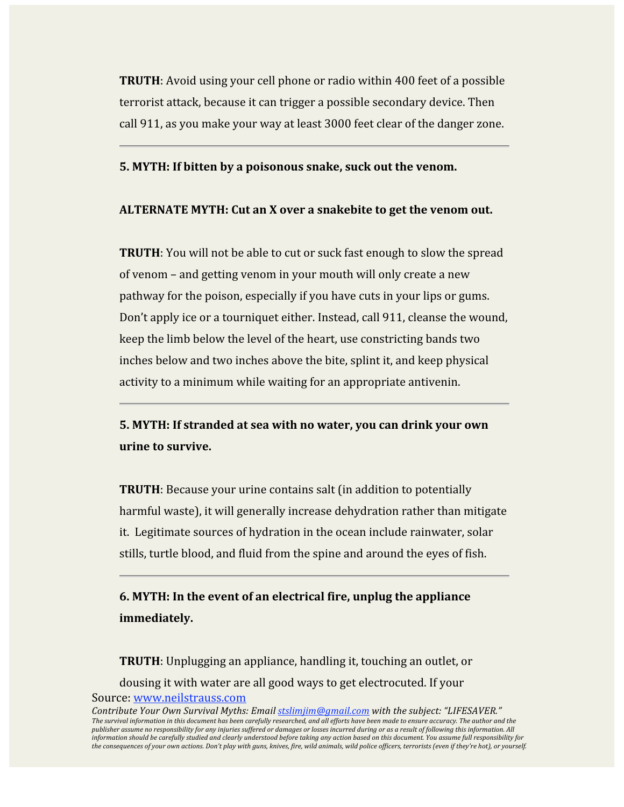**TRUTH**: Avoid using your cell phone or radio within 400 feet of a possible terrorist attack, because it can trigger a possible secondary device. Then call 911, as you make your way at least 3000 feet clear of the danger zone.

### **5. MYTH: If bitten by a poisonous snake, suck out the venom.**

### **ALTERNATE MYTH: Cut an X over a snakebite to get the venom out.**

**TRUTH**: You will not be able to cut or suck fast enough to slow the spread of venom – and getting venom in your mouth will only create a new pathway for the poison, especially if you have cuts in your lips or gums. Don't apply ice or a tourniquet either. Instead, call 911, cleanse the wound, keep the limb below the level of the heart, use constricting bands two inches below and two inches above the bite, splint it, and keep physical activity to a minimum while waiting for an appropriate antivenin.

## **5. MYTH: If stranded at sea with no water, you can drink your own urine to survive.**

**TRUTH:** Because your urine contains salt (in addition to potentially harmful waste), it will generally increase dehydration rather than mitigate it. Legitimate sources of hydration in the ocean include rainwater, solar stills, turtle blood, and fluid from the spine and around the eyes of fish.

**6. MYTH: In the event of an electrical fire, unplug the appliance immediately.**

Source: www.neilstrauss.com **TRUTH**: Unplugging an appliance, handling it, touching an outlet, or dousing it with water are all good ways to get electrocuted. If your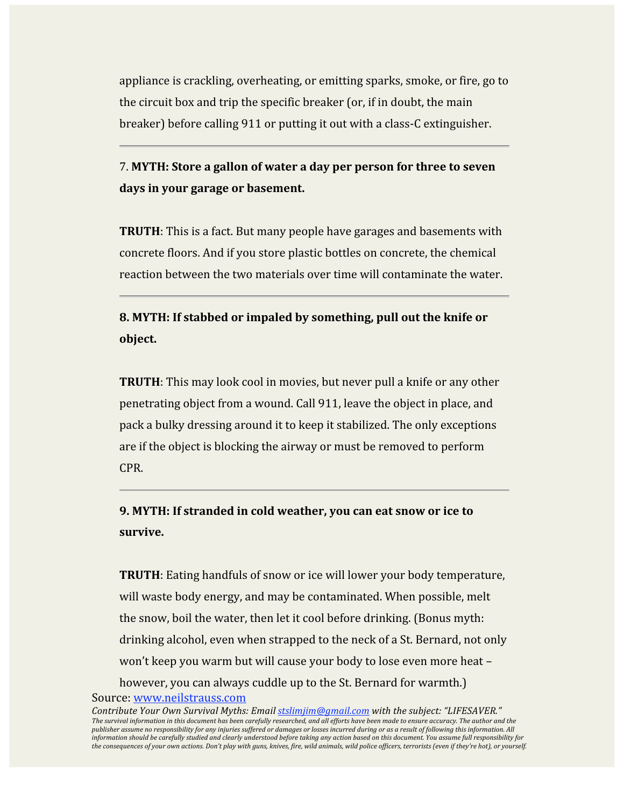appliance is crackling, overheating, or emitting sparks, smoke, or fire, go to the circuit box and trip the specific breaker (or, if in doubt, the main breaker) before calling 911 or putting it out with a class‐C extinguisher.

# 7. **MYTH: Store a gallon of water a day per person for three to seven days in your garage or basement.**

**TRUTH**: This is a fact. But many people have garages and basements with concrete floors. And if you store plastic bottles on concrete, the chemical reaction between the two materials over time will contaminate the water.

# **8. MYTH: If stabbed or impaled by something, pull out the knife or object.**

**TRUTH**: This may look cool in movies, but never pull a knife or any other penetrating object from a wound. Call 911, leave the object in place, and pack a bulky dressing around it to keep it stabilized. The only exceptions are if the object is blocking the airway or must be removed to perform CPR.

# **9. MYTH: If stranded in cold weather, you can eat snow or ice to survive.**

**TRUTH**: Eating handfuls of snow or ice will lower your body temperature, will waste body energy, and may be contaminated. When possible, melt the snow, boil the water, then let it cool before drinking. (Bonus myth: drinking alcohol, even when strapped to the neck of a St. Bernard, not only won't keep you warm but will cause your body to lose even more heat – however, you can always cuddle up to the St. Bernard for warmth.)

#### Source: www.neilstrauss.com